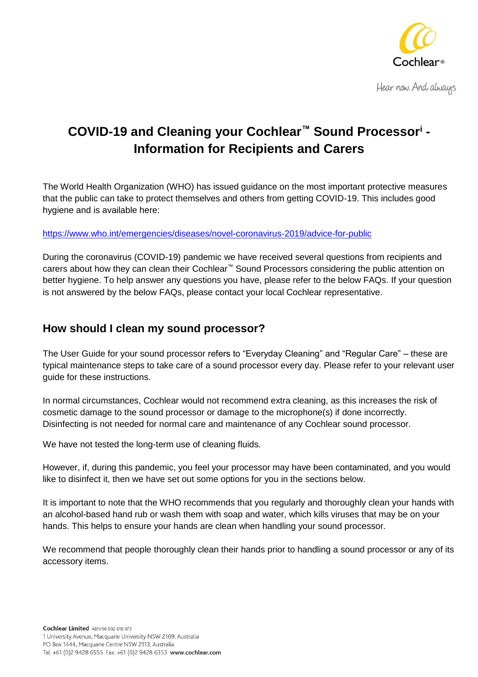

Hear now. And always

# **COVID-19 and Cleaning your Cochlear™ Sound Processor<sup>i</sup> - Information for Recipients and Carers**

The World Health Organization (WHO) has issued guidance on the most important protective measures that the public can take to protect themselves and others from getting COVID-19. This includes good hygiene and is available here:

#### <https://www.who.int/emergencies/diseases/novel-coronavirus-2019/advice-for-public>

During the coronavirus (COVID-19) pandemic we have received several questions from recipients and carers about how they can clean their Cochlear™ Sound Processors considering the public attention on better hygiene. To help answer any questions you have, please refer to the below FAQs. If your question is not answered by the below FAQs, please contact your local Cochlear representative.

### **How should I clean my sound processor?**

The User Guide for your sound processor refers to "Everyday Cleaning" and "Regular Care" – these are typical maintenance steps to take care of a sound processor every day. Please refer to your relevant user guide for these instructions.

In normal circumstances, Cochlear would not recommend extra cleaning, as this increases the risk of cosmetic damage to the sound processor or damage to the microphone(s) if done incorrectly. Disinfecting is not needed for normal care and maintenance of any Cochlear sound processor.

We have not tested the long-term use of cleaning fluids.

However, if, during this pandemic, you feel your processor may have been contaminated, and you would like to disinfect it, then we have set out some options for you in the sections below.

It is important to note that the WHO recommends that you regularly and thoroughly clean your hands with an alcohol-based hand rub or wash them with soap and water, which kills viruses that may be on your hands. This helps to ensure your hands are clean when handling your sound processor.

We recommend that people thoroughly clean their hands prior to handling a sound processor or any of its accessory items.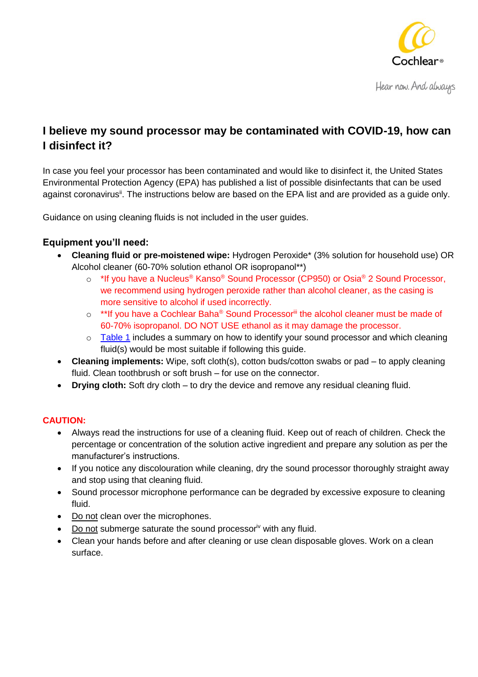

## **I believe my sound processor may be contaminated with COVID-19, how can I disinfect it?**

In case you feel your processor has been contaminated and would like to disinfect it, the United States Environmental Protection Agency (EPA) has published a list of possible disinfectants that can be used against coronavirus<sup>ii</sup>. The instructions below are based on the EPA list and are provided as a guide only.

Guidance on using cleaning fluids is not included in the user guides.

#### **Equipment you'll need:**

- **Cleaning fluid or pre-moistened wipe:** Hydrogen Peroxide\* (3% solution for household use) OR Alcohol cleaner (60-70% solution ethanol OR isopropanol\*\*)
	- o \*If you have a Nucleus® Kanso® Sound Processor (CP950) or Osia® 2 Sound Processor, we recommend using hydrogen peroxide rather than alcohol cleaner, as the casing is more sensitive to alcohol if used incorrectly.
	- o \*\*If you have a Cochlear Baha® Sound Processoriii the alcohol cleaner must be made of 60-70% isopropanol. DO NOT USE ethanol as it may damage the processor.
	- $\circ$  [Table 1](#page-3-0) includes a summary on how to identify your sound processor and which cleaning fluid(s) would be most suitable if following this guide.
- **Cleaning implements:** Wipe, soft cloth(s), cotton buds/cotton swabs or pad to apply cleaning fluid. Clean toothbrush or soft brush – for use on the connector.
- **Drying cloth:** Soft dry cloth to dry the device and remove any residual cleaning fluid.

#### **CAUTION:**

- Always read the instructions for use of a cleaning fluid. Keep out of reach of children. Check the percentage or concentration of the solution active ingredient and prepare any solution as per the manufacturer's instructions.
- If you notice any discolouration while cleaning, dry the sound processor thoroughly straight away and stop using that cleaning fluid.
- Sound processor microphone performance can be degraded by excessive exposure to cleaning fluid.
- Do not clean over the microphones.
- Do not submerge saturate the sound processor<sup>iv</sup> with any fluid.
- Clean your hands before and after cleaning or use clean disposable gloves. Work on a clean surface.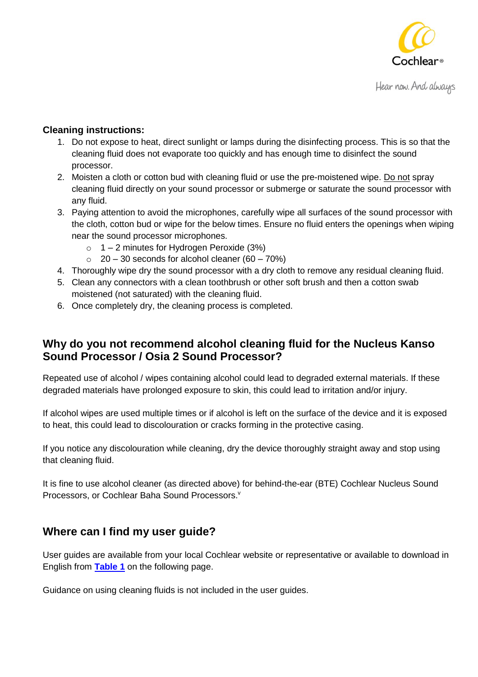

#### **Cleaning instructions:**

- 1. Do not expose to heat, direct sunlight or lamps during the disinfecting process. This is so that the cleaning fluid does not evaporate too quickly and has enough time to disinfect the sound processor.
- 2. Moisten a cloth or cotton bud with cleaning fluid or use the pre-moistened wipe. Do not spray cleaning fluid directly on your sound processor or submerge or saturate the sound processor with any fluid.
- 3. Paying attention to avoid the microphones, carefully wipe all surfaces of the sound processor with the cloth, cotton bud or wipe for the below times. Ensure no fluid enters the openings when wiping near the sound processor microphones.
	- $\circ$  1 2 minutes for Hydrogen Peroxide (3%)
	- $\circ$  20 30 seconds for alcohol cleaner (60 70%)
- 4. Thoroughly wipe dry the sound processor with a dry cloth to remove any residual cleaning fluid.
- 5. Clean any connectors with a clean toothbrush or other soft brush and then a cotton swab moistened (not saturated) with the cleaning fluid.
- 6. Once completely dry, the cleaning process is completed.

### **Why do you not recommend alcohol cleaning fluid for the Nucleus Kanso Sound Processor / Osia 2 Sound Processor?**

Repeated use of alcohol / wipes containing alcohol could lead to degraded external materials. If these degraded materials have prolonged exposure to skin, this could lead to irritation and/or injury.

If alcohol wipes are used multiple times or if alcohol is left on the surface of the device and it is exposed to heat, this could lead to discolouration or cracks forming in the protective casing.

If you notice any discolouration while cleaning, dry the device thoroughly straight away and stop using that cleaning fluid.

It is fine to use alcohol cleaner (as directed above) for behind-the-ear (BTE) Cochlear Nucleus Sound Processors, or Cochlear Baha Sound Processors.<sup>v</sup>

## **Where can I find my user guide?**

User guides are available from your local Cochlear website or representative or available to download in English from **[Table 1](#page-2-0)** on the following page.

<span id="page-2-0"></span>Guidance on using cleaning fluids is not included in the user guides.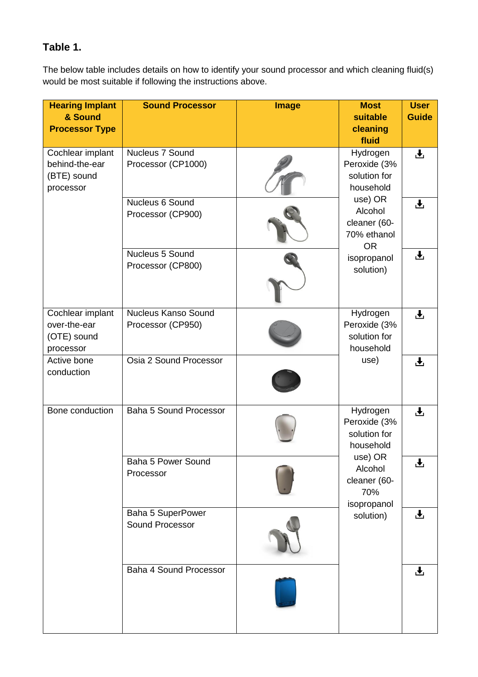## <span id="page-3-0"></span>**Table 1.**

The below table includes details on how to identify your sound processor and which cleaning fluid(s) would be most suitable if following the instructions above.

| <b>Hearing Implant</b><br>& Sound<br><b>Processor Type</b>     | <b>Sound Processor</b>                          | <b>Image</b> | <b>Most</b><br>suitable<br>cleaning<br>fluid                                                                                                        | <b>User</b><br><b>Guide</b> |
|----------------------------------------------------------------|-------------------------------------------------|--------------|-----------------------------------------------------------------------------------------------------------------------------------------------------|-----------------------------|
| Cochlear implant<br>behind-the-ear<br>(BTE) sound<br>processor | Nucleus 7 Sound<br>Processor (CP1000)           |              | Hydrogen<br>Peroxide (3%<br>solution for<br>household<br>use) OR<br>Alcohol<br>cleaner (60-<br>70% ethanol<br><b>OR</b><br>isopropanol<br>solution) | 子                           |
|                                                                | Nucleus 6 Sound<br>Processor (CP900)            |              |                                                                                                                                                     | $\overline{\mathbf{r}}$     |
|                                                                | Nucleus 5 Sound<br>Processor (CP800)            |              |                                                                                                                                                     | 上                           |
| Cochlear implant<br>over-the-ear<br>(OTE) sound<br>processor   | <b>Nucleus Kanso Sound</b><br>Processor (CP950) |              | Hydrogen<br>Peroxide (3%<br>solution for<br>household<br>use)                                                                                       | 上                           |
| Active bone<br>conduction                                      | Osia 2 Sound Processor                          |              |                                                                                                                                                     | 上                           |
| Bone conduction                                                | <b>Baha 5 Sound Processor</b>                   |              | Hydrogen<br>Peroxide (3%<br>solution for<br>household<br>use) OR<br>Alcohol<br>cleaner (60-<br>70%<br>isopropanol<br>solution)                      | 玉                           |
|                                                                | Baha 5 Power Sound<br>Processor                 |              |                                                                                                                                                     | 上                           |
|                                                                | Baha 5 SuperPower<br>Sound Processor            |              |                                                                                                                                                     | 上                           |
|                                                                | Baha 4 Sound Processor                          |              |                                                                                                                                                     | $\overline{\mathbf{r}}$     |